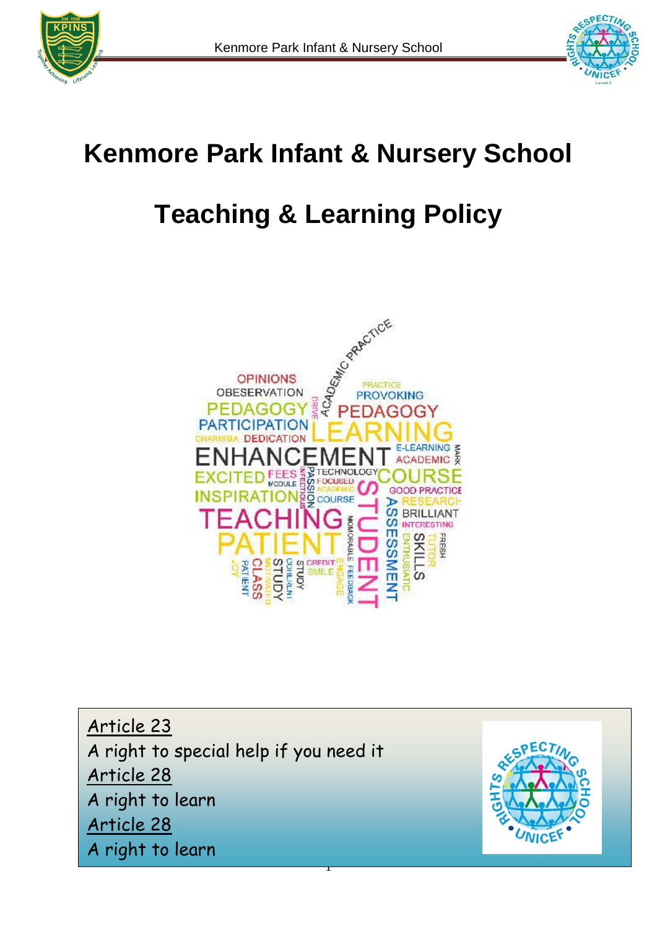



## **Kenmore Park Infant & Nursery School**

# **Teaching & Learning Policy**



1 Article 23 A right to special help if you need it Article 28 A right to learn Article 28 A right to learn

![](_page_0_Picture_7.jpeg)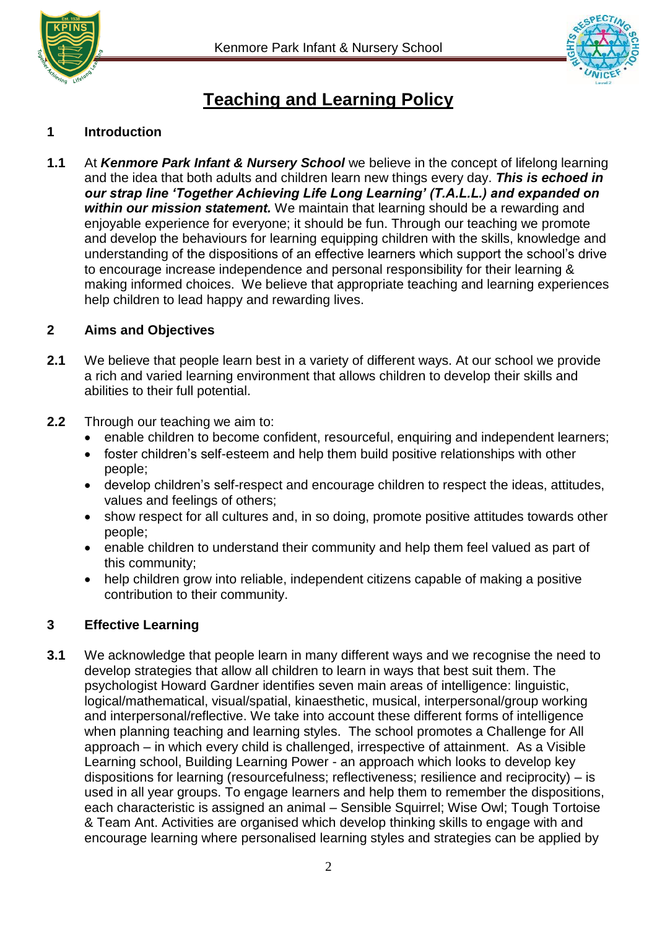![](_page_1_Picture_0.jpeg)

![](_page_1_Picture_2.jpeg)

### **Teaching and Learning Policy**

#### **1 Introduction**

**1.1** At *Kenmore Park Infant & Nursery School* we believe in the concept of lifelong learning and the idea that both adults and children learn new things every day. *This is echoed in our strap line 'Together Achieving Life Long Learning' (T.A.L.L.) and expanded on within our mission statement.* We maintain that learning should be a rewarding and enjoyable experience for everyone; it should be fun. Through our teaching we promote and develop the behaviours for learning equipping children with the skills, knowledge and understanding of the dispositions of an effective learners which support the school's drive to encourage increase independence and personal responsibility for their learning & making informed choices. We believe that appropriate teaching and learning experiences help children to lead happy and rewarding lives.

#### **2 Aims and Objectives**

- **2.1** We believe that people learn best in a variety of different ways. At our school we provide a rich and varied learning environment that allows children to develop their skills and abilities to their full potential.
- **2.2** Through our teaching we aim to:
	- enable children to become confident, resourceful, enquiring and independent learners;
	- foster children's self-esteem and help them build positive relationships with other people;
	- develop children's self-respect and encourage children to respect the ideas, attitudes, values and feelings of others;
	- show respect for all cultures and, in so doing, promote positive attitudes towards other people;
	- enable children to understand their community and help them feel valued as part of this community;
	- help children grow into reliable, independent citizens capable of making a positive contribution to their community.

#### **3 Effective Learning**

**3.1** We acknowledge that people learn in many different ways and we recognise the need to develop strategies that allow all children to learn in ways that best suit them. The psychologist Howard Gardner identifies seven main areas of intelligence: linguistic, logical/mathematical, visual/spatial, kinaesthetic, musical, interpersonal/group working and interpersonal/reflective. We take into account these different forms of intelligence when planning teaching and learning styles. The school promotes a Challenge for All approach – in which every child is challenged, irrespective of attainment. As a Visible Learning school, Building Learning Power - an approach which looks to develop key dispositions for learning (resourcefulness; reflectiveness; resilience and reciprocity) – is used in all year groups. To engage learners and help them to remember the dispositions, each characteristic is assigned an animal – Sensible Squirrel; Wise Owl; Tough Tortoise & Team Ant. Activities are organised which develop thinking skills to engage with and encourage learning where personalised learning styles and strategies can be applied by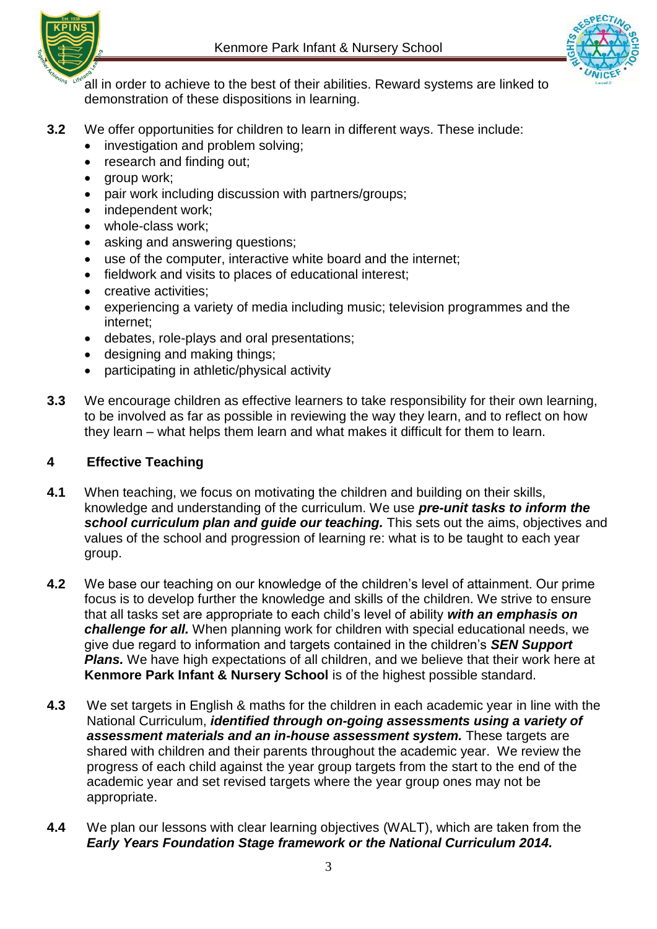![](_page_2_Picture_1.jpeg)

![](_page_2_Picture_2.jpeg)

all in order to achieve to the best of their abilities. Reward systems are linked to demonstration of these dispositions in learning.

- **3.2** We offer opportunities for children to learn in different ways. These include:
	- investigation and problem solving;
	- research and finding out;
	- group work;
	- pair work including discussion with partners/groups;
	- independent work;
	- $\bullet$  whole-class work;
	- asking and answering questions;
	- use of the computer, interactive white board and the internet;
	- fieldwork and visits to places of educational interest:
	- **•** creative activities;
	- experiencing a variety of media including music; television programmes and the internet;
	- debates, role-plays and oral presentations;
	- designing and making things;
	- participating in athletic/physical activity
- **3.3** We encourage children as effective learners to take responsibility for their own learning, to be involved as far as possible in reviewing the way they learn, and to reflect on how they learn – what helps them learn and what makes it difficult for them to learn.

#### **4 Effective Teaching**

- **4.1** When teaching, we focus on motivating the children and building on their skills, knowledge and understanding of the curriculum. We use *pre-unit tasks to inform the*  **school curriculum plan and guide our teaching.** This sets out the aims, objectives and values of the school and progression of learning re: what is to be taught to each year group.
- **4.2** We base our teaching on our knowledge of the children's level of attainment. Our prime focus is to develop further the knowledge and skills of the children. We strive to ensure that all tasks set are appropriate to each child's level of ability *with an emphasis on challenge for all.* When planning work for children with special educational needs, we give due regard to information and targets contained in the children's *SEN Support*  **Plans.** We have high expectations of all children, and we believe that their work here at **Kenmore Park Infant & Nursery School** is of the highest possible standard.
- **4.3** We set targets in English & maths for the children in each academic year in line with the National Curriculum, *identified through on-going assessments using a variety of assessment materials and an in-house assessment system.* These targets are shared with children and their parents throughout the academic year. We review the progress of each child against the year group targets from the start to the end of the academic year and set revised targets where the year group ones may not be appropriate.
- **4.4** We plan our lessons with clear learning objectives (WALT), which are taken from the *Early Years Foundation Stage framework or the National Curriculum 2014.*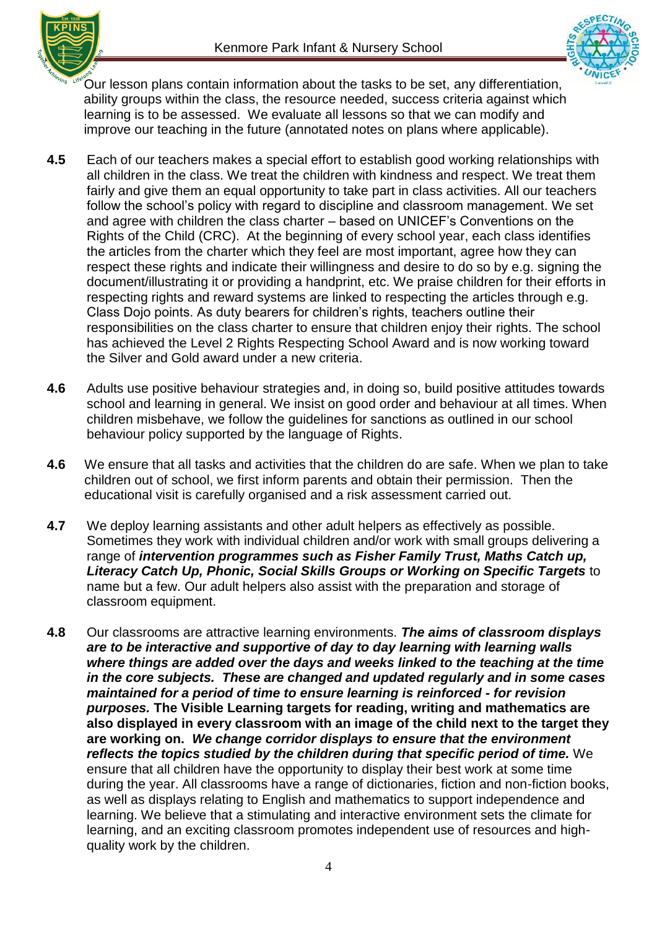![](_page_3_Picture_0.jpeg)

![](_page_3_Picture_2.jpeg)

Our lesson plans contain information about the tasks to be set, any differentiation, ability groups within the class, the resource needed, success criteria against which learning is to be assessed. We evaluate all lessons so that we can modify and improve our teaching in the future (annotated notes on plans where applicable).

- **4.5** Each of our teachers makes a special effort to establish good working relationships with all children in the class. We treat the children with kindness and respect. We treat them fairly and give them an equal opportunity to take part in class activities. All our teachers follow the school's policy with regard to discipline and classroom management. We set and agree with children the class charter – based on UNICEF's Conventions on the Rights of the Child (CRC). At the beginning of every school year, each class identifies the articles from the charter which they feel are most important, agree how they can respect these rights and indicate their willingness and desire to do so by e.g. signing the document/illustrating it or providing a handprint, etc. We praise children for their efforts in respecting rights and reward systems are linked to respecting the articles through e.g. Class Dojo points. As duty bearers for children's rights, teachers outline their responsibilities on the class charter to ensure that children enjoy their rights. The school has achieved the Level 2 Rights Respecting School Award and is now working toward the Silver and Gold award under a new criteria.
- **4.6** Adults use positive behaviour strategies and, in doing so, build positive attitudes towards school and learning in general. We insist on good order and behaviour at all times. When children misbehave, we follow the guidelines for sanctions as outlined in our school behaviour policy supported by the language of Rights.
- **4.6** We ensure that all tasks and activities that the children do are safe. When we plan to take children out of school, we first inform parents and obtain their permission. Then the educational visit is carefully organised and a risk assessment carried out.
- **4.7** We deploy learning assistants and other adult helpers as effectively as possible. Sometimes they work with individual children and/or work with small groups delivering a range of *intervention programmes such as Fisher Family Trust, Maths Catch up, Literacy Catch Up, Phonic, Social Skills Groups or Working on Specific Targets* to name but a few. Our adult helpers also assist with the preparation and storage of classroom equipment.
- **4.8** Our classrooms are attractive learning environments. *The aims of classroom displays are to be interactive and supportive of day to day learning with learning walls where things are added over the days and weeks linked to the teaching at the time in the core subjects. These are changed and updated regularly and in some cases maintained for a period of time to ensure learning is reinforced - for revision purposes.* **The Visible Learning targets for reading, writing and mathematics are also displayed in every classroom with an image of the child next to the target they are working on.** *We change corridor displays to ensure that the environment reflects the topics studied by the children during that specific period of time.* We ensure that all children have the opportunity to display their best work at some time during the year. All classrooms have a range of dictionaries, fiction and non-fiction books, as well as displays relating to English and mathematics to support independence and learning. We believe that a stimulating and interactive environment sets the climate for learning, and an exciting classroom promotes independent use of resources and highquality work by the children.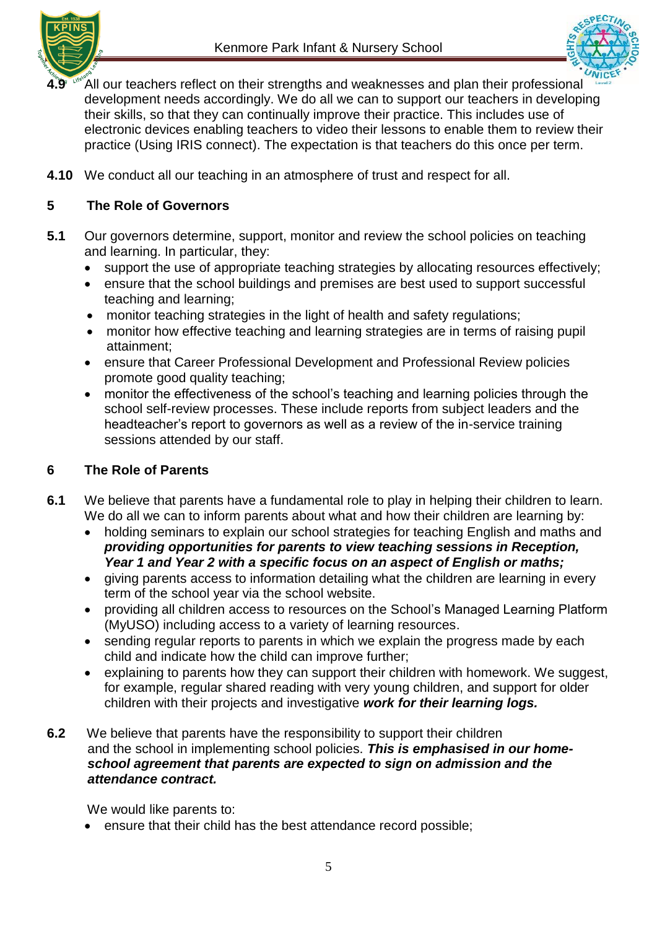![](_page_4_Picture_1.jpeg)

![](_page_4_Picture_2.jpeg)

- 4.9<sup> Mexec</sup> All our teachers reflect on their strengths and weaknesses and plan their professional development needs accordingly. We do all we can to support our teachers in developing their skills, so that they can continually improve their practice. This includes use of electronic devices enabling teachers to video their lessons to enable them to review their practice (Using IRIS connect). The expectation is that teachers do this once per term.
- **4.10** We conduct all our teaching in an atmosphere of trust and respect for all.

#### **5 The Role of Governors**

- **5.1** Our governors determine, support, monitor and review the school policies on teaching and learning. In particular, they:
	- support the use of appropriate teaching strategies by allocating resources effectively;
	- ensure that the school buildings and premises are best used to support successful teaching and learning;
	- monitor teaching strategies in the light of health and safety regulations;
	- monitor how effective teaching and learning strategies are in terms of raising pupil attainment;
	- ensure that Career Professional Development and Professional Review policies promote good quality teaching;
	- monitor the effectiveness of the school's teaching and learning policies through the school self-review processes. These include reports from subject leaders and the headteacher's report to governors as well as a review of the in-service training sessions attended by our staff.

#### **6 The Role of Parents**

- **6.1** We believe that parents have a fundamental role to play in helping their children to learn. We do all we can to inform parents about what and how their children are learning by:
	- holding seminars to explain our school strategies for teaching English and maths and *providing opportunities for parents to view teaching sessions in Reception, Year 1 and Year 2 with a specific focus on an aspect of English or maths;*
	- giving parents access to information detailing what the children are learning in every term of the school year via the school website.
	- providing all children access to resources on the School's Managed Learning Platform (MyUSO) including access to a variety of learning resources.
	- sending regular reports to parents in which we explain the progress made by each child and indicate how the child can improve further;
	- explaining to parents how they can support their children with homework. We suggest, for example, regular shared reading with very young children, and support for older children with their projects and investigative *work for their learning logs.*
- **6.2** We believe that parents have the responsibility to support their children and the school in implementing school policies. *This is emphasised in our home school agreement that parents are expected to sign on admission and the attendance contract.*

We would like parents to:

ensure that their child has the best attendance record possible;